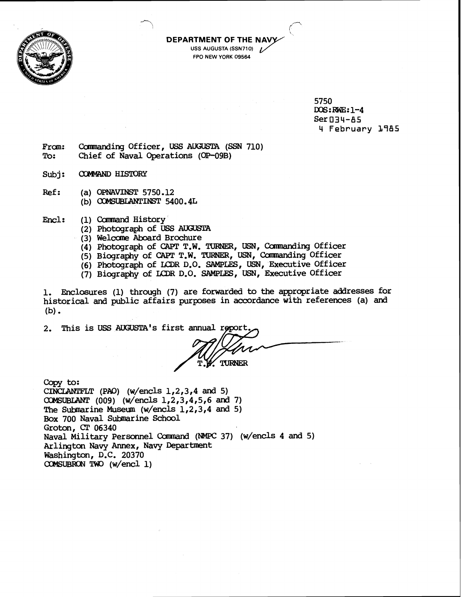

## **FPO NEW YORK 09564**

5750 DOS:RWE:1-4  $Ser$  $I$ 34-A5 4 **February 1985** 

- From: Commanding Officer, USS AUGUSTA (SSN 710)<br>To: Chief of Naval Operations (OP-09B) Chief of Naval Operations (OP-09B)
- Subj: COMYAND HISTORY
- Ref: (a) **OPNAVINST** 5750.12 (b) **0343UBLANTINST** 5400.4L
- Encl: (1) Command History
	- (2) Photograph of **USS** AUGUSTA
	- (3) Welccme Aboard Brochure
	- (4) Photograph of CAFT T.W. TURNER, USN, Comnanding Officer

**0** 'I *r-*

**DEPARTMENT OF THE**  USS AUGUSTA (SSN710)

- (5) Biography of CAPT T.W. TURNER, USN, Commanding Officer
- (6) Photograph of LXPR D.O. SAMPLES, USN, Executive Officer
- (7) Biography of **LCRR** D.O. SAMPLES, **USN,** Executive Officer

1. Enclosures (1) through (7) are forwarded to the appropriate addresses for historical and public affairs purposes in accordance with references (a) and  $(b)$ .

2. This is USS AUGUSTA's first annual repo

TURNER

Copy to:

CINCLANTFLT (PAO) (w/encls  $1, 2, 3, 4$  and 5) (009) (w/encls 1,2,3,4,5,6 and 7) The Submarine Museum (w/encls  $1,2,3,4$  and 5) Box 700 Naval Submarine School Groton, **CC** 06340 Naval Military Personnel Command (NMPC 37) (w/encls 4 and 5) Arlington Navy Annex, Navy Department Washington, D.C. 20370 COMSUBRON TWO (w/encl 1)